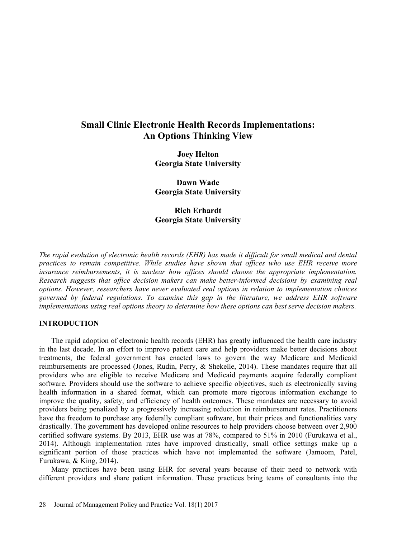# Small Clinic Electronic Health Records Implementations: An Options Thinking View

Joey Helton Georgia State University

Dawn Wade Georgia State University

Rich Erhardt Georgia State University

The rapid evolution of electronic health records (EHR) has made it difficult for small medical and dental practices to remain competitive. While studies have shown that offices who use EHR receive more insurance reimbursements, it is unclear how offices should choose the appropriate implementation. Research suggests that office decision makers can make better-informed decisions by examining real options. However, researchers have never evaluated real options in relation to implementation choices governed by federal regulations. To examine this gap in the literature, we address EHR software implementations using real options theory to determine how these options can best serve decision makers.

## INTRODUCTION

The rapid adoption of electronic health records (EHR) has greatly influenced the health care industry in the last decade. In an effort to improve patient care and help providers make better decisions about treatments, the federal government has enacted laws to govern the way Medicare and Medicaid reimbursements are processed (Jones, Rudin, Perry, & Shekelle, 2014). These mandates require that all providers who are eligible to receive Medicare and Medicaid payments acquire federally compliant software. Providers should use the software to achieve specific objectives, such as electronically saving health information in a shared format, which can promote more rigorous information exchange to improve the quality, safety, and efficiency of health outcomes. These mandates are necessary to avoid providers being penalized by a progressively increasing reduction in reimbursement rates. Practitioners have the freedom to purchase any federally compliant software, but their prices and functionalities vary drastically. The government has developed online resources to help providers choose between over 2,900 certified software systems. By 2013, EHR use was at 78%, compared to 51% in 2010 (Furukawa et al., 2014). Although implementation rates have improved drastically, small office settings make up a significant portion of those practices which have not implemented the software (Jamoom, Patel, Furukawa, & King, 2014).

Many practices have been using EHR for several years because of their need to network with different providers and share patient information. These practices bring teams of consultants into the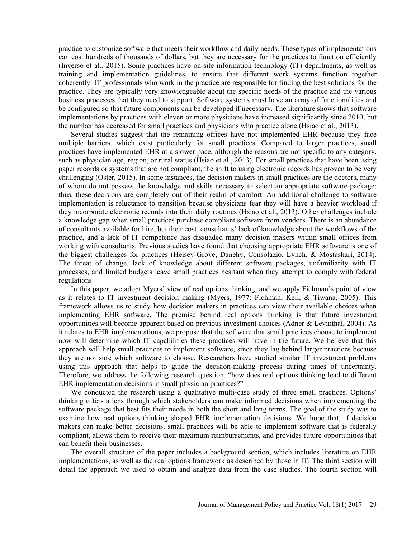practice to customize software that meets their workflow and daily needs. These types of implementations can cost hundreds of thousands of dollars, but they are necessary for the practices to function efficiently (Inverso et al., 2015). Some practices have on-site information technology (IT) departments, as well as training and implementation guidelines, to ensure that different work systems function together coherently. IT professionals who work in the practice are responsible for finding the best solutions for the practice. They are typically very knowledgeable about the specific needs of the practice and the various business processes that they need to support. Software systems must have an array of functionalities and be configured so that future components can be developed if necessary. The literature shows that software implementations by practices with eleven or more physicians have increased significantly since 2010, but the number has decreased for small practices and physicians who practice alone (Hsiao et al., 2013).

Several studies suggest that the remaining offices have not implemented EHR because they face multiple barriers, which exist particularly for small practices. Compared to larger practices, small practices have implemented EHR at a slower pace, although the reasons are not specific to any category, such as physician age, region, or rural status (Hsiao et al., 2013). For small practices that have been using paper records or systems that are not compliant, the shift to using electronic records has proven to be very challenging (Oster, 2015). In some instances, the decision makers in small practices are the doctors, many of whom do not possess the knowledge and skills necessary to select an appropriate software package; thus, these decisions are completely out of their realm of comfort. An additional challenge to software implementation is reluctance to transition because physicians fear they will have a heavier workload if they incorporate electronic records into their daily routines (Hsiao et al., 2013). Other challenges include a knowledge gap when small practices purchase compliant software from vendors. There is an abundance of consultants available for hire, but their cost, consultants lack of knowledge about the workflows of the practice, and a lack of IT competence has dissuaded many decision makers within small offices from working with consultants. Previous studies have found that choosing appropriate EHR software is one of the biggest challenges for practices (Heisey-Grove, Danehy, Consolazio, Lynch, & Mostashari, 2014). The threat of change, lack of knowledge about different software packages, unfamiliarity with IT processes, and limited budgets leave small practices hesitant when they attempt to comply with federal regulations.

In this paper, we adopt Myers' view of real options thinking, and we apply Fichman's point of view as it relates to IT investment decision making (Myers, 1977; Fichman, Keil, & Tiwana, 2005). This framework allows us to study how decision makers in practices can view their available choices when implementing EHR software. The premise behind real options thinking is that future investment opportunities will become apparent based on previous investment choices (Adner & Levinthal, 2004). As it relates to EHR implementations, we propose that the software that small practices choose to implement now will determine which IT capabilities these practices will have in the future. We believe that this approach will help small practices to implement software, since they lag behind larger practices because they are not sure which software to choose. Researchers have studied similar IT investment problems using this approach that helps to guide the decision-making process during times of uncertainty. Therefore, we address the following research question, "how does real options thinking lead to different EHR implementation decisions in small physician practices?"

We conducted the research using a qualitative multi-case study of three small practices. Options' thinking offers a lens through which stakeholders can make informed decisions when implementing the software package that best fits their needs in both the short and long terms. The goal of the study was to examine how real options thinking shaped EHR implementation decisions. We hope that, if decision makers can make better decisions, small practices will be able to implement software that is federally compliant, allows them to receive their maximum reimbursements, and provides future opportunities that can benefit their businesses.

The overall structure of the paper includes a background section, which includes literature on EHR implementations, as well as the real options framework as described by those in IT. The third section will detail the approach we used to obtain and analyze data from the case studies. The fourth section will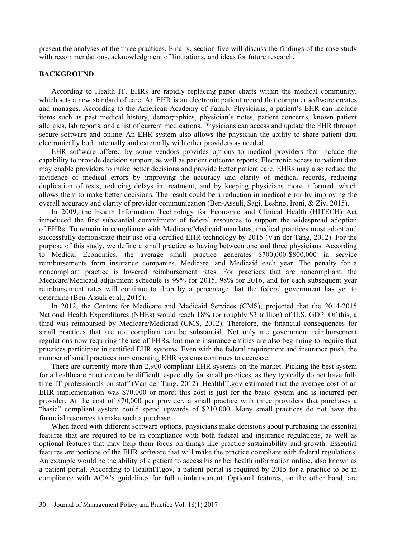present the analyses of the three practices. Finally, section five will discuss the findings of the case study with recommendations, acknowledgment of limitations, and ideas for future research.

## BACKGROUND

According to Health IT, EHRs are rapidly replacing paper charts within the medical community, which sets a new standard of care. An EHR is an electronic patient record that computer software creates and manages. According to the American Academy of Family Physicians, a patient's EHR can include items such as past medical history, demographics, physician's notes, patient concerns, known patient allergies, lab reports, and a list of current medications. Physicians can access and update the EHR through secure software and online. An EHR system also allows the physician the ability to share patient data electronically both internally and externally with other providers as needed.

EHR software offered by some vendors provides options to medical providers that include the capability to provide decision support, as well as patient outcome reports. Electronic access to patient data may enable providers to make better decisions and provide better patient care. EHRs may also reduce the incidence of medical errors by improving the accuracy and clarity of medical records, reducing duplication of tests, reducing delays in treatment, and by keeping physicians more informed, which allows them to make better decisions. The result could be a reduction in medical error by improving the overall accuracy and clarity of provider communication (Ben-Assuli, Sagi, Leshno, Ironi, & Ziv, 2015).

In 2009, the Health Information Technology for Economic and Clinical Health (HITECH) Act introduced the first substantial commitment of federal resources to support the widespread adoption of EHRs. To remain in compliance with Medicare/Medicaid mandates, medical practices must adopt and successfully demonstrate their use of a certified EHR technology by 2015 (Van der Tang, 2012). For the purpose of this study, we define a small practice as having between one and three physicians. According to Medical Economics, the average small practice generates \$700,000-\$800,000 in service reimbursements from insurance companies, Medicare, and Medicaid each year. The penalty for a noncompliant practice is lowered reimbursement rates. For practices that are noncompliant, the Medicare/Medicaid adjustment schedule is 99% for 2015, 98% for 2016, and for each subsequent year reimbursement rates will continue to drop by a percentage that the federal government has yet to determine (Ben-Assuli et al., 2015).

In 2012, the Centers for Medicare and Medicaid Services (CMS), projected that the 2014-2015 National Health Expenditures (NHEs) would reach 18% (or roughly \$3 trillion) of U.S. GDP. Of this, a third was reimbursed by Medicare/Medicaid (CMS, 2012). Therefore, the financial consequences for small practices that are not compliant can be substantial. Not only are government reimbursement regulations now requiring the use of EHRs, but more insurance entities are also beginning to require that practices participate in certified EHR systems. Even with the federal requirement and insurance push, the number of small practices implementing EHR systems continues to decrease.

There are currently more than 2,900 compliant EHR systems on the market. Picking the best system for a healthcare practice can be difficult, especially for small practices, as they typically do not have fulltime IT professionals on staff (Van der Tang, 2012). HealthIT.gov estimated that the average cost of an EHR implementation was \$70,000 or more; this cost is just for the basic system and is incurred per provider. At the cost of \$70,000 per provider, a small practice with three providers that purchases a "basic" compliant system could spend upwards of \$210,000. Many small practices do not have the financial resources to make such a purchase.

When faced with different software options, physicians make decisions about purchasing the essential features that are required to be in compliance with both federal and insurance regulations, as well as optional features that may help them focus on things like practice sustainability and growth. Essential features are portions of the EHR software that will make the practice compliant with federal regulations. An example would be the ability of a patient to access his or her health information online, also known as a patient portal. According to HealthIT.gov, a patient portal is required by 2015 for a practice to be in compliance with ACA's guidelines for full reimbursement. Optional features, on the other hand, are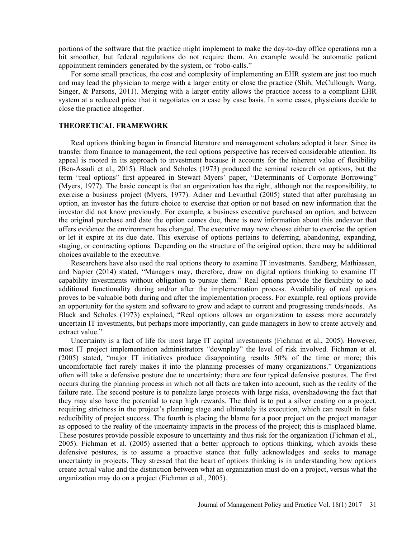portions of the software that the practice might implement to make the day-to-day office operations run a bit smoother, but federal regulations do not require them. An example would be automatic patient appointment reminders generated by the system, or "robo-calls."

For some small practices, the cost and complexity of implementing an EHR system are just too much and may lead the physician to merge with a larger entity or close the practice (Shih, McCullough, Wang, Singer, & Parsons, 2011). Merging with a larger entity allows the practice access to a compliant EHR system at a reduced price that it negotiates on a case by case basis. In some cases, physicians decide to close the practice altogether.

#### THEORETICAL FRAMEWORK

Real options thinking began in financial literature and management scholars adopted it later. Since its transfer from finance to management, the real options perspective has received considerable attention. Its appeal is rooted in its approach to investment because it accounts for the inherent value of flexibility (Ben-Assuli et al., 2015). Black and Scholes (1973) produced the seminal research on options, but the term "real options" first appeared in Stewart Myers' paper, "Determinants of Corporate Borrowing" (Myers, 1977). The basic concept is that an organization has the right, although not the responsibility, to exercise a business project (Myers, 1977). Adner and Levinthal (2005) stated that after purchasing an option, an investor has the future choice to exercise that option or not based on new information that the investor did not know previously. For example, a business executive purchased an option, and between the original purchase and date the option comes due, there is new information about this endeavor that offers evidence the environment has changed. The executive may now choose either to exercise the option or let it expire at its due date. This exercise of options pertains to deferring, abandoning, expanding, staging, or contracting options. Depending on the structure of the original option, there may be additional choices available to the executive.

Researchers have also used the real options theory to examine IT investments. Sandberg, Mathiassen, and Napier (2014) stated, "Managers may, therefore, draw on digital options thinking to examine IT capability investments without obligation to pursue them." Real options provide the flexibility to add additional functionality during and/or after the implementation process. Availability of real options proves to be valuable both during and after the implementation process. For example, real options provide an opportunity for the system and software to grow and adapt to current and progressing trends/needs. As Black and Scholes (1973) explained, "Real options allows an organization to assess more accurately uncertain IT investments, but perhaps more importantly, can guide managers in how to create actively and extract value."

Uncertainty is a fact of life for most large IT capital investments (Fichman et al., 2005). However, most IT project implementation administrators "downplay" the level of risk involved. Fichman et al. (2005) stated, major IT initiatives produce disappointing results 50% of the time or more; this uncomfortable fact rarely makes it into the planning processes of many organizations." Organizations often will take a defensive posture due to uncertainty; there are four typical defensive postures. The first occurs during the planning process in which not all facts are taken into account, such as the reality of the failure rate. The second posture is to penalize large projects with large risks, overshadowing the fact that they may also have the potential to reap high rewards. The third is to put a silver coating on a project, requiring strictness in the project's planning stage and ultimately its execution, which can result in false reducibility of project success. The fourth is placing the blame for a poor project on the project manager as opposed to the reality of the uncertainty impacts in the process of the project; this is misplaced blame. These postures provide possible exposure to uncertainty and thus risk for the organization (Fichman et al., 2005). Fichman et al. (2005) asserted that a better approach to options thinking, which avoids these defensive postures, is to assume a proactive stance that fully acknowledges and seeks to manage uncertainty in projects. They stressed that the heart of options thinking is in understanding how options create actual value and the distinction between what an organization must do on a project, versus what the organization may do on a project (Fichman et al., 2005).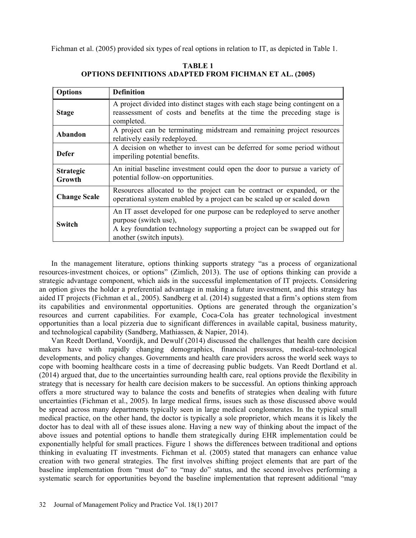Fichman et al. (2005) provided six types of real options in relation to IT, as depicted in Table 1.

| <b>Options</b>             | <b>Definition</b>                                                                                                                                                                                        |
|----------------------------|----------------------------------------------------------------------------------------------------------------------------------------------------------------------------------------------------------|
| <b>Stage</b>               | A project divided into distinct stages with each stage being contingent on a<br>reassessment of costs and benefits at the time the preceding stage is<br>completed.                                      |
| Abandon                    | A project can be terminating midstream and remaining project resources<br>relatively easily redeployed.                                                                                                  |
| <b>Defer</b>               | A decision on whether to invest can be deferred for some period without<br>imperiling potential benefits.                                                                                                |
| <b>Strategic</b><br>Growth | An initial baseline investment could open the door to pursue a variety of<br>potential follow-on opportunities.                                                                                          |
| <b>Change Scale</b>        | Resources allocated to the project can be contract or expanded, or the<br>operational system enabled by a project can be scaled up or scaled down                                                        |
| <b>Switch</b>              | An IT asset developed for one purpose can be redeployed to serve another<br>purpose (switch use),<br>A key foundation technology supporting a project can be swapped out for<br>another (switch inputs). |

TABLE 1 OPTIONS DEFINITIONS ADAPTED FROM FICHMAN ET AL. (2005)

In the management literature, options thinking supports strategy "as a process of organizational resources-investment choices, or options" (Zimlich, 2013). The use of options thinking can provide a strategic advantage component, which aids in the successful implementation of IT projects. Considering an option gives the holder a preferential advantage in making a future investment, and this strategy has aided IT projects (Fichman et al., 2005). Sandberg et al. (2014) suggested that a firm's options stem from its capabilities and environmental opportunities. Options are generated through the organization's resources and current capabilities. For example, Coca-Cola has greater technological investment opportunities than a local pizzeria due to significant differences in available capital, business maturity, and technological capability (Sandberg, Mathiassen, & Napier, 2014).

Van Reedt Dortland, Voordijk, and Dewulf (2014) discussed the challenges that health care decision makers have with rapidly changing demographics, financial pressures, medical-technological developments, and policy changes. Governments and health care providers across the world seek ways to cope with booming healthcare costs in a time of decreasing public budgets. Van Reedt Dortland et al. (2014) argued that, due to the uncertainties surrounding health care, real options provide the flexibility in strategy that is necessary for health care decision makers to be successful. An options thinking approach offers a more structured way to balance the costs and benefits of strategies when dealing with future uncertainties (Fichman et al., 2005). In large medical firms, issues such as those discussed above would be spread across many departments typically seen in large medical conglomerates. In the typical small medical practice, on the other hand, the doctor is typically a sole proprietor, which means it is likely the doctor has to deal with all of these issues alone. Having a new way of thinking about the impact of the above issues and potential options to handle them strategically during EHR implementation could be exponentially helpful for small practices. Figure 1 shows the differences between traditional and options thinking in evaluating IT investments. Fichman et al. (2005) stated that managers can enhance value creation with two general strategies. The first involves shifting project elements that are part of the baseline implementation from "must do" to "may do" status, and the second involves performing a systematic search for opportunities beyond the baseline implementation that represent additional "may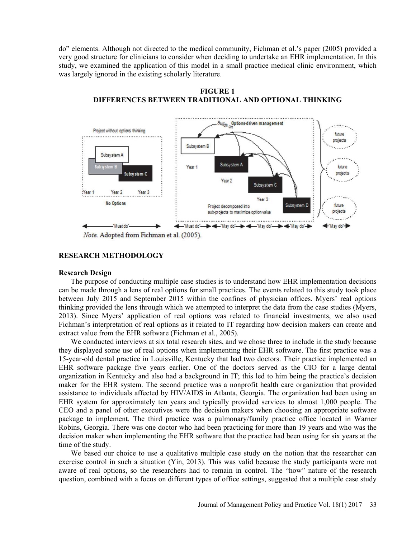do" elements. Although not directed to the medical community, Fichman et al.'s paper (2005) provided a very good structure for clinicians to consider when deciding to undertake an EHR implementation. In this study, we examined the application of this model in a small practice medical clinic environment, which was largely ignored in the existing scholarly literature.



FIGURE 1 DIFFERENCES BETWEEN TRADITIONAL AND OPTIONAL THINKING

### RESEARCH METHODOLOGY

### Research Design

The purpose of conducting multiple case studies is to understand how EHR implementation decisions can be made through a lens of real options for small practices. The events related to this study took place between July 2015 and September 2015 within the confines of physician offices. Myers' real options thinking provided the lens through which we attempted to interpret the data from the case studies (Myers, 2013). Since Myers' application of real options was related to financial investments, we also used Fichman's interpretation of real options as it related to IT regarding how decision makers can create and extract value from the EHR software (Fichman et al., 2005).

We conducted interviews at six total research sites, and we chose three to include in the study because they displayed some use of real options when implementing their EHR software. The first practice was a 15-year-old dental practice in Louisville, Kentucky that had two doctors. Their practice implemented an EHR software package five years earlier. One of the doctors served as the CIO for a large dental organization in Kentucky and also had a background in IT; this led to him being the practice's decision maker for the EHR system. The second practice was a nonprofit health care organization that provided assistance to individuals affected by HIV/AIDS in Atlanta, Georgia. The organization had been using an EHR system for approximately ten years and typically provided services to almost 1,000 people. The CEO and a panel of other executives were the decision makers when choosing an appropriate software package to implement. The third practice was a pulmonary/family practice office located in Warner Robins, Georgia. There was one doctor who had been practicing for more than 19 years and who was the decision maker when implementing the EHR software that the practice had been using for six years at the time of the study.

We based our choice to use a qualitative multiple case study on the notion that the researcher can exercise control in such a situation (Yin, 2013). This was valid because the study participants were not aware of real options, so the researchers had to remain in control. The "how" nature of the research question, combined with a focus on different types of office settings, suggested that a multiple case study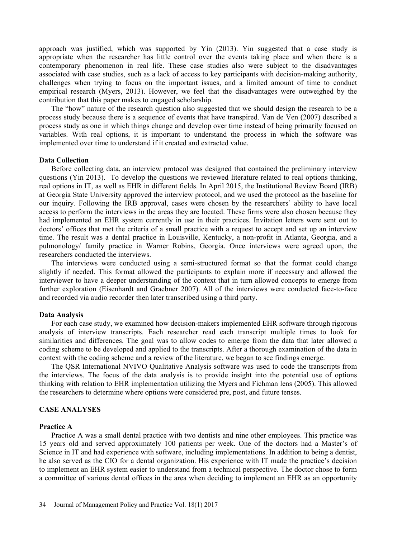approach was justified, which was supported by Yin (2013). Yin suggested that a case study is appropriate when the researcher has little control over the events taking place and when there is a contemporary phenomenon in real life. These case studies also were subject to the disadvantages associated with case studies, such as a lack of access to key participants with decision-making authority, challenges when trying to focus on the important issues, and a limited amount of time to conduct empirical research (Myers, 2013). However, we feel that the disadvantages were outweighed by the contribution that this paper makes to engaged scholarship.

The "how" nature of the research question also suggested that we should design the research to be a process study because there is a sequence of events that have transpired. Van de Ven (2007) described a process study as one in which things change and develop over time instead of being primarily focused on variables. With real options, it is important to understand the process in which the software was implemented over time to understand if it created and extracted value.

## Data Collection

Before collecting data, an interview protocol was designed that contained the preliminary interview questions (Yin 2013). To develop the questions we reviewed literature related to real options thinking, real options in IT, as well as EHR in different fields. In April 2015, the Institutional Review Board (IRB) at Georgia State University approved the interview protocol, and we used the protocol as the baseline for our inquiry. Following the IRB approval, cases were chosen by the researchers' ability to have local access to perform the interviews in the areas they are located. These firms were also chosen because they had implemented an EHR system currently in use in their practices. Invitation letters were sent out to doctors' offices that met the criteria of a small practice with a request to accept and set up an interview time. The result was a dental practice in Louisville, Kentucky, a non-profit in Atlanta, Georgia, and a pulmonology/ family practice in Warner Robins, Georgia. Once interviews were agreed upon, the researchers conducted the interviews.

The interviews were conducted using a semi-structured format so that the format could change slightly if needed. This format allowed the participants to explain more if necessary and allowed the interviewer to have a deeper understanding of the context that in turn allowed concepts to emerge from further exploration (Eisenhardt and Graebner 2007). All of the interviews were conducted face-to-face and recorded via audio recorder then later transcribed using a third party.

#### Data Analysis

For each case study, we examined how decision-makers implemented EHR software through rigorous analysis of interview transcripts. Each researcher read each transcript multiple times to look for similarities and differences. The goal was to allow codes to emerge from the data that later allowed a coding scheme to be developed and applied to the transcripts. After a thorough examination of the data in context with the coding scheme and a review of the literature, we began to see findings emerge.

The QSR International NVIVO Qualitative Analysis software was used to code the transcripts from the interviews. The focus of the data analysis is to provide insight into the potential use of options thinking with relation to EHR implementation utilizing the Myers and Fichman lens (2005). This allowed the researchers to determine where options were considered pre, post, and future tenses.

### CASE ANALYSES

#### Practice A

Practice A was a small dental practice with two dentists and nine other employees. This practice was 15 years old and served approximately 100 patients per week. One of the doctors had a Master's of Science in IT and had experience with software, including implementations. In addition to being a dentist, he also served as the CIO for a dental organization. His experience with IT made the practice's decision to implement an EHR system easier to understand from a technical perspective. The doctor chose to form a committee of various dental offices in the area when deciding to implement an EHR as an opportunity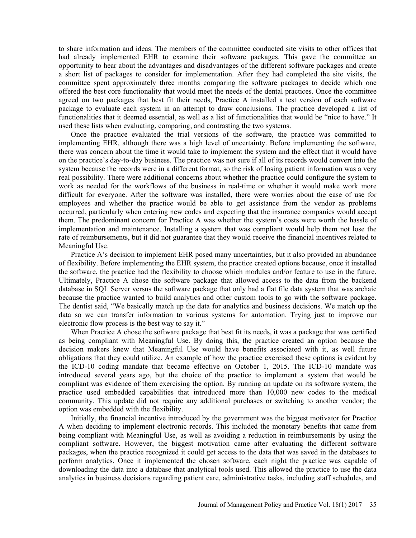to share information and ideas. The members of the committee conducted site visits to other offices that had already implemented EHR to examine their software packages. This gave the committee an opportunity to hear about the advantages and disadvantages of the different software packages and create a short list of packages to consider for implementation. After they had completed the site visits, the committee spent approximately three months comparing the software packages to decide which one offered the best core functionality that would meet the needs of the dental practices. Once the committee agreed on two packages that best fit their needs, Practice A installed a test version of each software package to evaluate each system in an attempt to draw conclusions. The practice developed a list of functionalities that it deemed essential, as well as a list of functionalities that would be "nice to have." It used these lists when evaluating, comparing, and contrasting the two systems.

Once the practice evaluated the trial versions of the software, the practice was committed to implementing EHR, although there was a high level of uncertainty. Before implementing the software, there was concern about the time it would take to implement the system and the effect that it would have on the practice's day-to-day business. The practice was not sure if all of its records would convert into the system because the records were in a different format, so the risk of losing patient information was a very real possibility. There were additional concerns about whether the practice could configure the system to work as needed for the workflows of the business in real-time or whether it would make work more difficult for everyone. After the software was installed, there were worries about the ease of use for employees and whether the practice would be able to get assistance from the vendor as problems occurred, particularly when entering new codes and expecting that the insurance companies would accept them. The predominant concern for Practice A was whether the system's costs were worth the hassle of implementation and maintenance. Installing a system that was compliant would help them not lose the rate of reimbursements, but it did not guarantee that they would receive the financial incentives related to Meaningful Use.

Practice A's decision to implement EHR posed many uncertainties, but it also provided an abundance of flexibility. Before implementing the EHR system, the practice created options because, once it installed the software, the practice had the flexibility to choose which modules and/or feature to use in the future. Ultimately, Practice A chose the software package that allowed access to the data from the backend database in SQL Server versus the software package that only had a flat file data system that was archaic because the practice wanted to build analytics and other custom tools to go with the software package. The dentist said, We basically match up the data for analytics and business decisions. We match up the data so we can transfer information to various systems for automation. Trying just to improve our electronic flow process is the best way to say it.

When Practice A chose the software package that best fit its needs, it was a package that was certified as being compliant with Meaningful Use. By doing this, the practice created an option because the decision makers knew that Meaningful Use would have benefits associated with it, as well future obligations that they could utilize. An example of how the practice exercised these options is evident by the ICD-10 coding mandate that became effective on October 1, 2015. The ICD-10 mandate was introduced several years ago, but the choice of the practice to implement a system that would be compliant was evidence of them exercising the option. By running an update on its software system, the practice used embedded capabilities that introduced more than 10,000 new codes to the medical community. This update did not require any additional purchases or switching to another vendor; the option was embedded with the flexibility.

Initially, the financial incentive introduced by the government was the biggest motivator for Practice A when deciding to implement electronic records. This included the monetary benefits that came from being compliant with Meaningful Use, as well as avoiding a reduction in reimbursements by using the compliant software. However, the biggest motivation came after evaluating the different software packages, when the practice recognized it could get access to the data that was saved in the databases to perform analytics. Once it implemented the chosen software, each night the practice was capable of downloading the data into a database that analytical tools used. This allowed the practice to use the data analytics in business decisions regarding patient care, administrative tasks, including staff schedules, and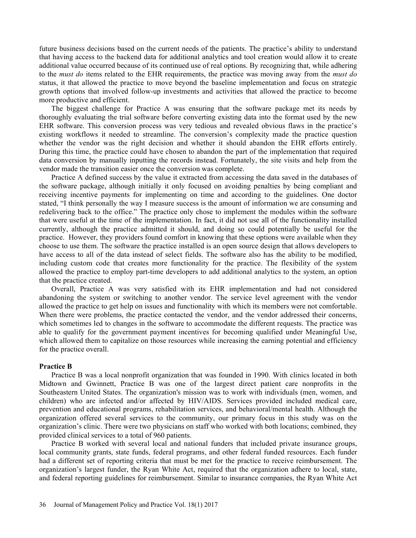future business decisions based on the current needs of the patients. The practice's ability to understand that having access to the backend data for additional analytics and tool creation would allow it to create additional value occurred because of its continued use of real options. By recognizing that, while adhering to the *must do* items related to the EHR requirements, the practice was moving away from the *must do* status, it that allowed the practice to move beyond the baseline implementation and focus on strategic growth options that involved follow-up investments and activities that allowed the practice to become more productive and efficient.

The biggest challenge for Practice A was ensuring that the software package met its needs by thoroughly evaluating the trial software before converting existing data into the format used by the new EHR software. This conversion process was very tedious and revealed obvious flaws in the practice's existing workflows it needed to streamline. The conversion's complexity made the practice question whether the vendor was the right decision and whether it should abandon the EHR efforts entirely. During this time, the practice could have chosen to abandon the part of the implementation that required data conversion by manually inputting the records instead. Fortunately, the site visits and help from the vendor made the transition easier once the conversion was complete.

Practice A defined success by the value it extracted from accessing the data saved in the databases of the software package, although initially it only focused on avoiding penalties by being compliant and receiving incentive payments for implementing on time and according to the guidelines. One doctor stated, "I think personally the way I measure success is the amount of information we are consuming and redelivering back to the office." The practice only chose to implement the modules within the software that were useful at the time of the implementation. In fact, it did not use all of the functionality installed currently, although the practice admitted it should, and doing so could potentially be useful for the practice. However, they providers found comfort in knowing that these options were available when they choose to use them. The software the practice installed is an open source design that allows developers to have access to all of the data instead of select fields. The software also has the ability to be modified, including custom code that creates more functionality for the practice. The flexibility of the system allowed the practice to employ part-time developers to add additional analytics to the system, an option that the practice created.

Overall, Practice A was very satisfied with its EHR implementation and had not considered abandoning the system or switching to another vendor. The service level agreement with the vendor allowed the practice to get help on issues and functionality with which its members were not comfortable. When there were problems, the practice contacted the vendor, and the vendor addressed their concerns, which sometimes led to changes in the software to accommodate the different requests. The practice was able to qualify for the government payment incentives for becoming qualified under Meaningful Use, which allowed them to capitalize on those resources while increasing the earning potential and efficiency for the practice overall.

## Practice B

Practice B was a local nonprofit organization that was founded in 1990. With clinics located in both Midtown and Gwinnett, Practice B was one of the largest direct patient care nonprofits in the Southeastern United States. The organization's mission was to work with individuals (men, women, and children) who are infected and/or affected by HIV/AIDS. Services provided included medical care, prevention and educational programs, rehabilitation services, and behavioral/mental health. Although the organization offered several services to the community, our primary focus in this study was on the organization's clinic. There were two physicians on staff who worked with both locations; combined, they provided clinical services to a total of 960 patients.

Practice B worked with several local and national funders that included private insurance groups, local community grants, state funds, federal programs, and other federal funded resources. Each funder had a different set of reporting criteria that must be met for the practice to receive reimbursement. The organization's largest funder, the Ryan White Act, required that the organization adhere to local, state, and federal reporting guidelines for reimbursement. Similar to insurance companies, the Ryan White Act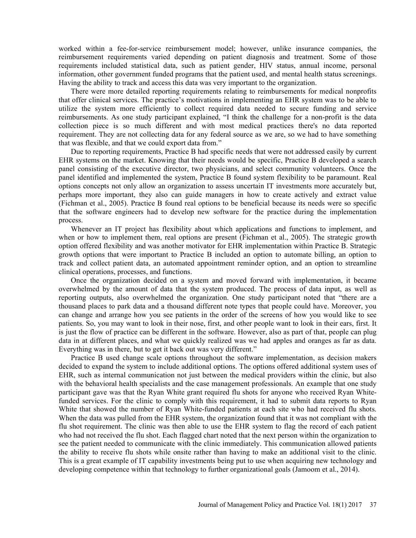worked within a fee-for-service reimbursement model; however, unlike insurance companies, the reimbursement requirements varied depending on patient diagnosis and treatment. Some of those requirements included statistical data, such as patient gender, HIV status, annual income, personal information, other government funded programs that the patient used, and mental health status screenings. Having the ability to track and access this data was very important to the organization.

There were more detailed reporting requirements relating to reimbursements for medical nonprofits that offer clinical services. The practice's motivations in implementing an EHR system was to be able to utilize the system more efficiently to collect required data needed to secure funding and service reimbursements. As one study participant explained, "I think the challenge for a non-profit is the data collection piece is so much different and with most medical practices there's no data reported requirement. They are not collecting data for any federal source as we are, so we had to have something that was flexible, and that we could export data from.

Due to reporting requirements, Practice B had specific needs that were not addressed easily by current EHR systems on the market. Knowing that their needs would be specific, Practice B developed a search panel consisting of the executive director, two physicians, and select community volunteers. Once the panel identified and implemented the system, Practice B found system flexibility to be paramount. Real options concepts not only allow an organization to assess uncertain IT investments more accurately but, perhaps more important, they also can guide managers in how to create actively and extract value (Fichman et al., 2005). Practice B found real options to be beneficial because its needs were so specific that the software engineers had to develop new software for the practice during the implementation process.

Whenever an IT project has flexibility about which applications and functions to implement, and when or how to implement them, real options are present (Fichman et al., 2005). The strategic growth option offered flexibility and was another motivator for EHR implementation within Practice B. Strategic growth options that were important to Practice B included an option to automate billing, an option to track and collect patient data, an automated appointment reminder option, and an option to streamline clinical operations, processes, and functions.

Once the organization decided on a system and moved forward with implementation, it became overwhelmed by the amount of data that the system produced. The process of data input, as well as reporting outputs, also overwhelmed the organization. One study participant noted that "there are a thousand places to park data and a thousand different note types that people could have. Moreover, you can change and arrange how you see patients in the order of the screens of how you would like to see patients. So, you may want to look in their nose, first, and other people want to look in their ears, first. It is just the flow of practice can be different in the software. However, also as part of that, people can plug data in at different places, and what we quickly realized was we had apples and oranges as far as data. Everything was in there, but to get it back out was very different."

Practice B used change scale options throughout the software implementation, as decision makers decided to expand the system to include additional options. The options offered additional system uses of EHR, such as internal communication not just between the medical providers within the clinic, but also with the behavioral health specialists and the case management professionals. An example that one study participant gave was that the Ryan White grant required flu shots for anyone who received Ryan Whitefunded services. For the clinic to comply with this requirement, it had to submit data reports to Ryan White that showed the number of Ryan White-funded patients at each site who had received flu shots. When the data was pulled from the EHR system, the organization found that it was not compliant with the flu shot requirement. The clinic was then able to use the EHR system to flag the record of each patient who had not received the flu shot. Each flagged chart noted that the next person within the organization to see the patient needed to communicate with the clinic immediately. This communication allowed patients the ability to receive flu shots while onsite rather than having to make an additional visit to the clinic. This is a great example of IT capability investments being put to use when acquiring new technology and developing competence within that technology to further organizational goals (Jamoom et al., 2014).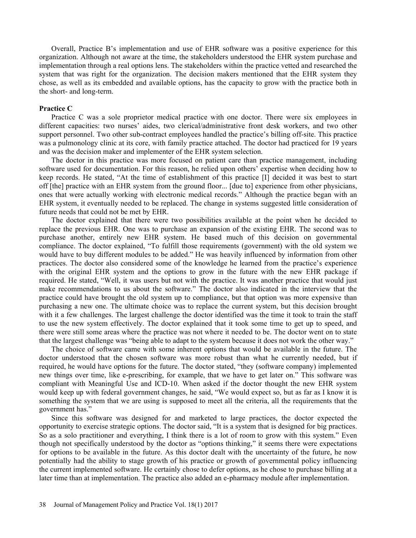Overall, Practice B's implementation and use of EHR software was a positive experience for this organization. Although not aware at the time, the stakeholders understood the EHR system purchase and implementation through a real options lens. The stakeholders within the practice vetted and researched the system that was right for the organization. The decision makers mentioned that the EHR system they chose, as well as its embedded and available options, has the capacity to grow with the practice both in the short- and long-term.

## Practice C

Practice C was a sole proprietor medical practice with one doctor. There were six employees in different capacities: two nurses' aides, two clerical/administrative front desk workers, and two other support personnel. Two other sub-contract employees handled the practice's billing off-site. This practice was a pulmonology clinic at its core, with family practice attached. The doctor had practiced for 19 years and was the decision maker and implementer of the EHR system selection.

The doctor in this practice was more focused on patient care than practice management, including software used for documentation. For this reason, he relied upon others' expertise when deciding how to keep records. He stated, "At the time of establishment of this practice [I] decided it was best to start off [the] practice with an EHR system from the ground floor... [due to] experience from other physicians, ones that were actually working with electronic medical records." Although the practice began with an EHR system, it eventually needed to be replaced. The change in systems suggested little consideration of future needs that could not be met by EHR.

The doctor explained that there were two possibilities available at the point when he decided to replace the previous EHR. One was to purchase an expansion of the existing EHR. The second was to purchase another, entirely new EHR system. He based much of this decision on governmental compliance. The doctor explained, "To fulfill those requirements (government) with the old system we would have to buy different modules to be added." He was heavily influenced by information from other practices. The doctor also considered some of the knowledge he learned from the practice's experience with the original EHR system and the options to grow in the future with the new EHR package if required. He stated, "Well, it was users but not with the practice. It was another practice that would just make recommendations to us about the software." The doctor also indicated in the interview that the practice could have brought the old system up to compliance, but that option was more expensive than purchasing a new one. The ultimate choice was to replace the current system, but this decision brought with it a few challenges. The largest challenge the doctor identified was the time it took to train the staff to use the new system effectively. The doctor explained that it took some time to get up to speed, and there were still some areas where the practice was not where it needed to be. The doctor went on to state that the largest challenge was "being able to adapt to the system because it does not work the other way."

The choice of software came with some inherent options that would be available in the future. The doctor understood that the chosen software was more robust than what he currently needed, but if required, he would have options for the future. The doctor stated, "they (software company) implemented new things over time, like e-prescribing, for example, that we have to get later on." This software was compliant with Meaningful Use and ICD-10. When asked if the doctor thought the new EHR system would keep up with federal government changes, he said, "We would expect so, but as far as I know it is something the system that we are using is supposed to meet all the criteria, all the requirements that the government has.

Since this software was designed for and marketed to large practices, the doctor expected the opportunity to exercise strategic options. The doctor said, "It is a system that is designed for big practices. So as a solo practitioner and everything, I think there is a lot of room to grow with this system." Even though not specifically understood by the doctor as "options thinking," it seems there were expectations for options to be available in the future. As this doctor dealt with the uncertainty of the future, he now potentially had the ability to stage growth of his practice or growth of governmental policy influencing the current implemented software. He certainly chose to defer options, as he chose to purchase billing at a later time than at implementation. The practice also added an e-pharmacy module after implementation.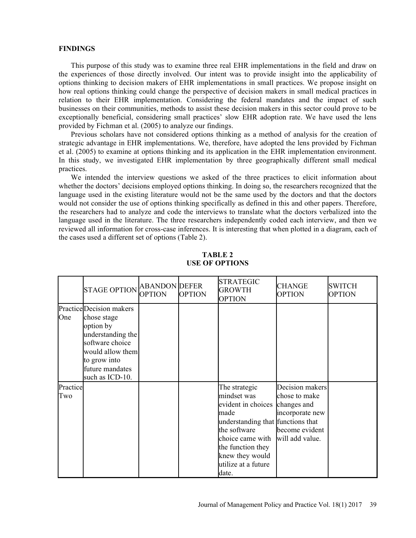#### FINDINGS

This purpose of this study was to examine three real EHR implementations in the field and draw on the experiences of those directly involved. Our intent was to provide insight into the applicability of options thinking to decision makers of EHR implementations in small practices. We propose insight on how real options thinking could change the perspective of decision makers in small medical practices in relation to their EHR implementation. Considering the federal mandates and the impact of such businesses on their communities, methods to assist these decision makers in this sector could prove to be exceptionally beneficial, considering small practices' slow EHR adoption rate. We have used the lens provided by Fichman et al. (2005) to analyze our findings.

Previous scholars have not considered options thinking as a method of analysis for the creation of strategic advantage in EHR implementations. We, therefore, have adopted the lens provided by Fichman et al. (2005) to examine at options thinking and its application in the EHR implementation environment. In this study, we investigated EHR implementation by three geographically different small medical practices.

We intended the interview questions we asked of the three practices to elicit information about whether the doctors' decisions employed options thinking. In doing so, the researchers recognized that the language used in the existing literature would not be the same used by the doctors and that the doctors would not consider the use of options thinking specifically as defined in this and other papers. Therefore, the researchers had to analyze and code the interviews to translate what the doctors verbalized into the language used in the literature. The three researchers independently coded each interview, and then we reviewed all information for cross-case inferences. It is interesting that when plotted in a diagram, each of the cases used a different set of options (Table 2).

|                 | <b>STAGE OPTION</b>                                                                                                                                                    | <b>ABANDON</b> DEFER<br><b>OPTION</b> | <b>OPTION</b> | <b>STRATEGIC</b><br><b>GROWTH</b><br><b>OPTION</b>                                                                                                                                                                      | <b>CHANGE</b><br><b>OPTION</b>                                                           | <b>SWITCH</b><br><b>OPTION</b> |
|-----------------|------------------------------------------------------------------------------------------------------------------------------------------------------------------------|---------------------------------------|---------------|-------------------------------------------------------------------------------------------------------------------------------------------------------------------------------------------------------------------------|------------------------------------------------------------------------------------------|--------------------------------|
| One             | Practice Decision makers<br>chose stage<br>option by<br>understanding the<br>software choice<br>would allow them<br>to grow into<br>future mandates<br>such as ICD-10. |                                       |               |                                                                                                                                                                                                                         |                                                                                          |                                |
| Practice<br>Two |                                                                                                                                                                        |                                       |               | The strategic<br>mindset was<br>evident in choices changes and<br>made<br>understanding that functions that<br>the software<br>choice came with<br>the function they<br>knew they would<br>utilize at a future<br>date. | Decision makers<br>chose to make<br>incorporate new<br>become evident<br>will add value. |                                |

TABLE 2 USE OF OPTIONS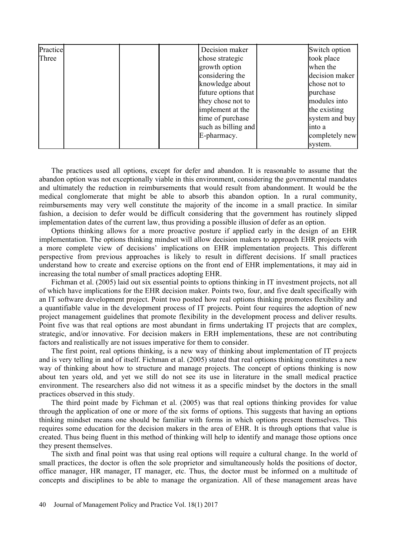| Practice |  | Decision maker      | Switch option  |
|----------|--|---------------------|----------------|
| Three    |  | chose strategic     | took place     |
|          |  | growth option       | when the       |
|          |  | considering the     | decision maker |
|          |  | knowledge about     | chose not to   |
|          |  | future options that | purchase       |
|          |  | they chose not to   | modules into   |
|          |  | implement at the    | the existing   |
|          |  | time of purchase    | system and buy |
|          |  | such as billing and | into a         |
|          |  | E-pharmacy.         | completely new |
|          |  |                     | system.        |

The practices used all options, except for defer and abandon. It is reasonable to assume that the abandon option was not exceptionally viable in this environment, considering the governmental mandates and ultimately the reduction in reimbursements that would result from abandonment. It would be the medical conglomerate that might be able to absorb this abandon option. In a rural community, reimbursements may very well constitute the majority of the income in a small practice. In similar fashion, a decision to defer would be difficult considering that the government has routinely slipped implementation dates of the current law, thus providing a possible illusion of defer as an option.

Options thinking allows for a more proactive posture if applied early in the design of an EHR implementation. The options thinking mindset will allow decision makers to approach EHR projects with a more complete view of decisions' implications on EHR implementation projects. This different perspective from previous approaches is likely to result in different decisions. If small practices understand how to create and exercise options on the front end of EHR implementations, it may aid in increasing the total number of small practices adopting EHR.

Fichman et al. (2005) laid out six essential points to options thinking in IT investment projects, not all of which have implications for the EHR decision maker. Points two, four, and five dealt specifically with an IT software development project. Point two posted how real options thinking promotes flexibility and a quantifiable value in the development process of IT projects. Point four requires the adoption of new project management guidelines that promote flexibility in the development process and deliver results. Point five was that real options are most abundant in firms undertaking IT projects that are complex, strategic, and/or innovative. For decision makers in ERH implementations, these are not contributing factors and realistically are not issues imperative for them to consider.

The first point, real options thinking, is a new way of thinking about implementation of IT projects and is very telling in and of itself. Fichman et al. (2005) stated that real options thinking constitutes a new way of thinking about how to structure and manage projects. The concept of options thinking is now about ten years old, and yet we still do not see its use in literature in the small medical practice environment. The researchers also did not witness it as a specific mindset by the doctors in the small practices observed in this study.

The third point made by Fichman et al. (2005) was that real options thinking provides for value through the application of one or more of the six forms of options. This suggests that having an options thinking mindset means one should be familiar with forms in which options present themselves. This requires some education for the decision makers in the area of EHR. It is through options that value is created. Thus being fluent in this method of thinking will help to identify and manage those options once they present themselves.

The sixth and final point was that using real options will require a cultural change. In the world of small practices, the doctor is often the sole proprietor and simultaneously holds the positions of doctor, office manager, HR manager, IT manager, etc. Thus, the doctor must be informed on a multitude of concepts and disciplines to be able to manage the organization. All of these management areas have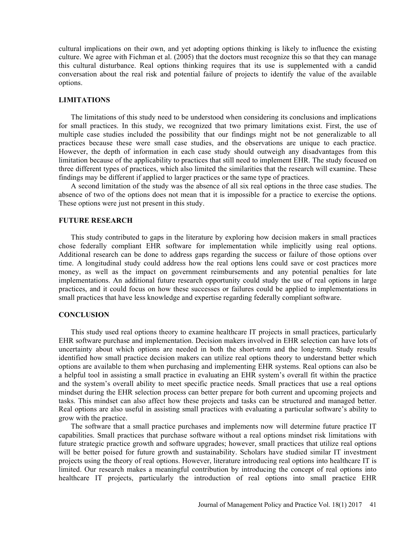cultural implications on their own, and yet adopting options thinking is likely to influence the existing culture. We agree with Fichman et al. (2005) that the doctors must recognize this so that they can manage this cultural disturbance. Real options thinking requires that its use is supplemented with a candid conversation about the real risk and potential failure of projects to identify the value of the available options.

#### LIMITATIONS

The limitations of this study need to be understood when considering its conclusions and implications for small practices. In this study, we recognized that two primary limitations exist. First, the use of multiple case studies included the possibility that our findings might not be not generalizable to all practices because these were small case studies, and the observations are unique to each practice. However, the depth of information in each case study should outweigh any disadvantages from this limitation because of the applicability to practices that still need to implement EHR. The study focused on three different types of practices, which also limited the similarities that the research will examine. These findings may be different if applied to larger practices or the same type of practices.

A second limitation of the study was the absence of all six real options in the three case studies. The absence of two of the options does not mean that it is impossible for a practice to exercise the options. These options were just not present in this study.

#### FUTURE RESEARCH

This study contributed to gaps in the literature by exploring how decision makers in small practices chose federally compliant EHR software for implementation while implicitly using real options. Additional research can be done to address gaps regarding the success or failure of those options over time. A longitudinal study could address how the real options lens could save or cost practices more money, as well as the impact on government reimbursements and any potential penalties for late implementations. An additional future research opportunity could study the use of real options in large practices, and it could focus on how these successes or failures could be applied to implementations in small practices that have less knowledge and expertise regarding federally compliant software.

### **CONCLUSION**

This study used real options theory to examine healthcare IT projects in small practices, particularly EHR software purchase and implementation. Decision makers involved in EHR selection can have lots of uncertainty about which options are needed in both the short-term and the long-term. Study results identified how small practice decision makers can utilize real options theory to understand better which options are available to them when purchasing and implementing EHR systems. Real options can also be a helpful tool in assisting a small practice in evaluating an EHR system's overall fit within the practice and the system's overall ability to meet specific practice needs. Small practices that use a real options mindset during the EHR selection process can better prepare for both current and upcoming projects and tasks. This mindset can also affect how these projects and tasks can be structured and managed better. Real options are also useful in assisting small practices with evaluating a particular software's ability to grow with the practice.

The software that a small practice purchases and implements now will determine future practice IT capabilities. Small practices that purchase software without a real options mindset risk limitations with future strategic practice growth and software upgrades; however, small practices that utilize real options will be better poised for future growth and sustainability. Scholars have studied similar IT investment projects using the theory of real options. However, literature introducing real options into healthcare IT is limited. Our research makes a meaningful contribution by introducing the concept of real options into healthcare IT projects, particularly the introduction of real options into small practice EHR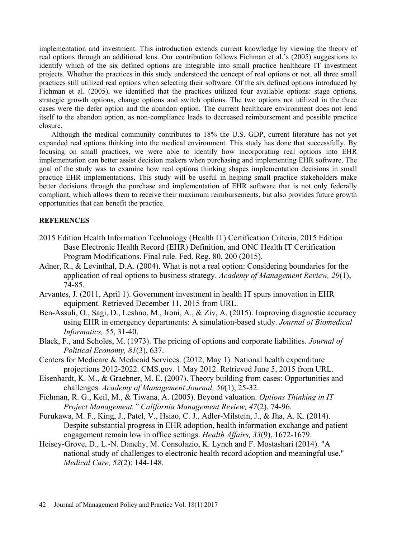implementation and investment. This introduction extends current knowledge by viewing the theory of real options through an additional lens. Our contribution follows Fichman et al.'s (2005) suggestions to identify which of the six defined options are integrable into small practice healthcare IT investment projects. Whether the practices in this study understood the concept of real options or not, all three small practices still utilized real options when selecting their software. Of the six defined options introduced by Fichman et al. (2005), we identified that the practices utilized four available options: stage options, strategic growth options, change options and switch options. The two options not utilized in the three cases were the defer option and the abandon option. The current healthcare environment does not lend itself to the abandon option, as non-compliance leads to decreased reimbursement and possible practice closure.

Although the medical community contributes to 18% the U.S. GDP, current literature has not yet expanded real options thinking into the medical environment. This study has done that successfully. By focusing on small practices, we were able to identify how incorporating real options into EHR implementation can better assist decision makers when purchasing and implementing EHR software. The goal of the study was to examine how real options thinking shapes implementation decisions in small practice EHR implementations. This study will be useful in helping small practice stakeholders make better decisions through the purchase and implementation of EHR software that is not only federally compliant, which allows them to receive their maximum reimbursements, but also provides future growth opportunities that can benefit the practice.

## **REFERENCES**

- 2015 Edition Health Information Technology (Health IT) Certification Criteria, 2015 Edition Base Electronic Health Record (EHR) Definition, and ONC Health IT Certification Program Modifications. Final rule. Fed. Reg. 80, 200 (2015).
- Adner, R., & Levinthal, D.A. (2004). What is not a real option: Considering boundaries for the application of real options to business strategy. Academy of Management Review, 29(1), 74-85.
- Arvantes, J. (2011, April 1). Government investment in health IT spurs innovation in EHR equipment. Retrieved December 11, 2015 from URL.
- Ben-Assuli, O., Sagi, D., Leshno, M., Ironi, A., & Ziv, A. (2015). Improving diagnostic accuracy using EHR in emergency departments: A simulation-based study. Journal of Biomedical Informatics, 55, 31-40.
- Black, F., and Scholes, M. (1973). The pricing of options and corporate liabilities. Journal of Political Economy, 81(3), 637.
- Centers for Medicare & Medicaid Services. (2012, May 1). National health expenditure projections 2012-2022. CMS.gov. 1 May 2012. Retrieved June 5, 2015 from URL.
- Eisenhardt, K. M., & Graebner, M. E. (2007). Theory building from cases: Opportunities and challenges. Academy of Management Journal, 50(1), 25-32.
- Fichman, R. G., Keil, M., & Tiwana, A. (2005). Beyond valuation. Options Thinking in IT Project Management," California Management Review, 47(2), 74-96.
- Furukawa, M. F., King, J., Patel, V., Hsiao, C. J., Adler-Milstein, J., & Jha, A. K. (2014). Despite substantial progress in EHR adoption, health information exchange and patient engagement remain low in office settings. Health Affairs, 33(9), 1672-1679.
- Heisey-Grove, D., L.-N. Danehy, M. Consolazio, K. Lynch and F. Mostashari (2014). "A national study of challenges to electronic health record adoption and meaningful use." Medical Care, 52(2): 144-148.